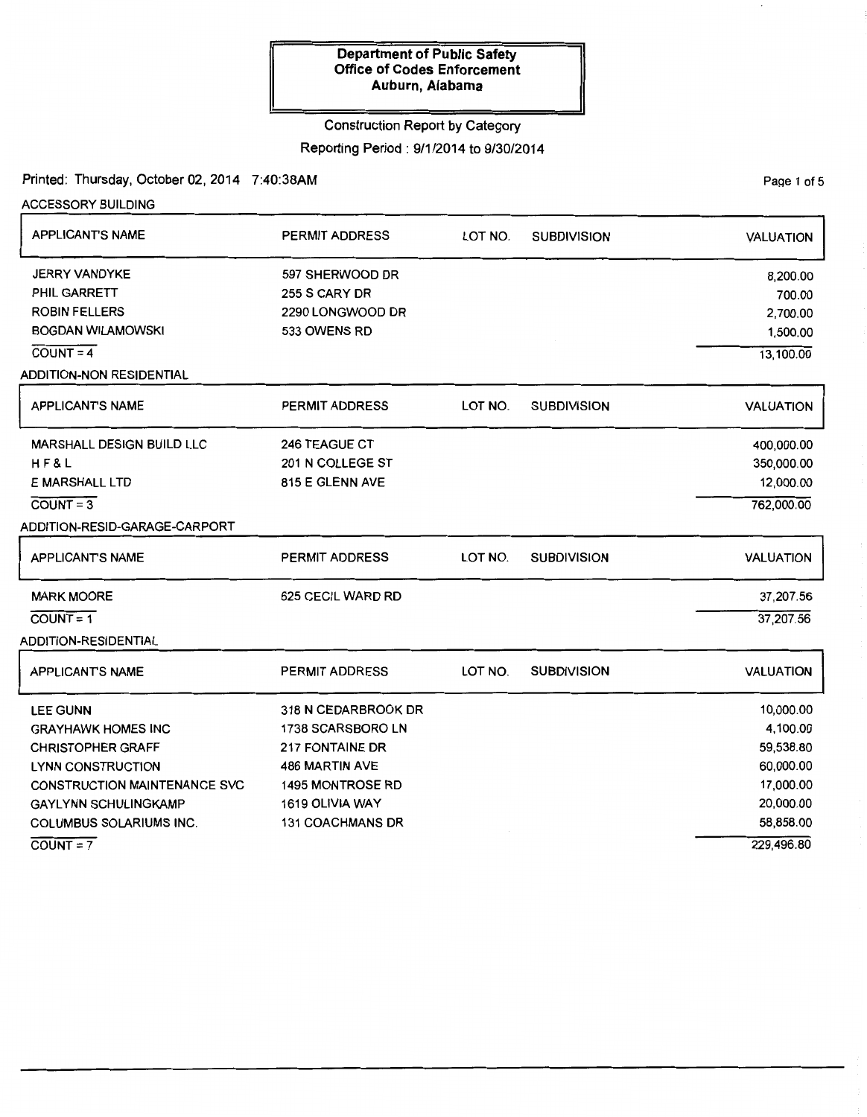# Construction Report by Category

# Reporting Period: 9/1/2014 to 9/30/2014

Printed: Thursday, October 02, 2014 7:40:38AM

 $COUNT = 7$ 

| <b>ACCESSORY BUILDING</b>           |                         |         |                    |                  |
|-------------------------------------|-------------------------|---------|--------------------|------------------|
| <b>APPLICANT'S NAME</b>             | PERMIT ADDRESS          | LOT NO. | <b>SUBDIVISION</b> | <b>VALUATION</b> |
| <b>JERRY VANDYKE</b>                | 597 SHERWOOD DR         |         |                    | 8,200.00         |
| PHIL GARRETT                        | 255 S CARY DR           |         |                    | 700.00           |
| <b>ROBIN FELLERS</b>                | 2290 LONGWOOD DR        |         |                    | 2,700.00         |
| <b>BOGDAN WILAMOWSKI</b>            | 533 OWENS RD            |         |                    | 1,500.00         |
| $COUNT = 4$                         |                         |         |                    | 13,100.00        |
| <b>ADDITION-NON RESIDENTIAL</b>     |                         |         |                    |                  |
| <b>APPLICANT'S NAME</b>             | <b>PERMIT ADDRESS</b>   | LOT NO. | <b>SUBDIVISION</b> | <b>VALUATION</b> |
| <b>MARSHALL DESIGN BUILD LLC</b>    | <b>246 TEAGUE CT</b>    |         |                    | 400,000.00       |
| H F & L                             | 201 N COLLEGE ST        |         |                    | 350,000.00       |
| E MARSHALL LTD                      | 815 E GLENN AVE         |         |                    | 12,000.00        |
| $COUNT = 3$                         |                         |         |                    | 762,000.00       |
| ADDITION-RESID-GARAGE-CARPORT       |                         |         |                    |                  |
| <b>APPLICANT'S NAME</b>             | PERMIT ADDRESS          | LOT NO. | <b>SUBDIVISION</b> | <b>VALUATION</b> |
| <b>MARK MOORE</b>                   | 625 CECIL WARD RD       |         |                    | 37,207.56        |
| $COUNT = 1$                         |                         |         |                    | 37,207.56        |
| ADDITION-RESIDENTIAL                |                         |         |                    |                  |
| <b>APPLICANTS NAME</b>              | <b>PERMIT ADDRESS</b>   | LOT NO. | <b>SUBDIVISION</b> | <b>VALUATION</b> |
| <b>LEE GUNN</b>                     | 318 N CEDARBROOK DR     |         |                    | 10,000.00        |
| <b>GRAYHAWK HOMES INC</b>           | 1738 SCARSBORO LN       |         |                    | 4,100.00         |
| <b>CHRISTOPHER GRAFF</b>            | 217 FONTAINE DR         |         |                    | 59,538.80        |
| <b>LYNN CONSTRUCTION</b>            | <b>486 MARTIN AVE</b>   |         |                    | 60,000.00        |
| <b>CONSTRUCTION MAINTENANCE SVC</b> | <b>1495 MONTROSE RD</b> |         |                    | 17,000.00        |
| <b>GAYLYNN SCHULINGKAMP</b>         | 1619 OLIVIA WAY         |         |                    | 20,000.00        |
| <b>COLUMBUS SOLARIUMS INC.</b>      | <b>131 COACHMANS DR</b> |         |                    | 58,858.00        |

PaQe 1 of 5

229,496.80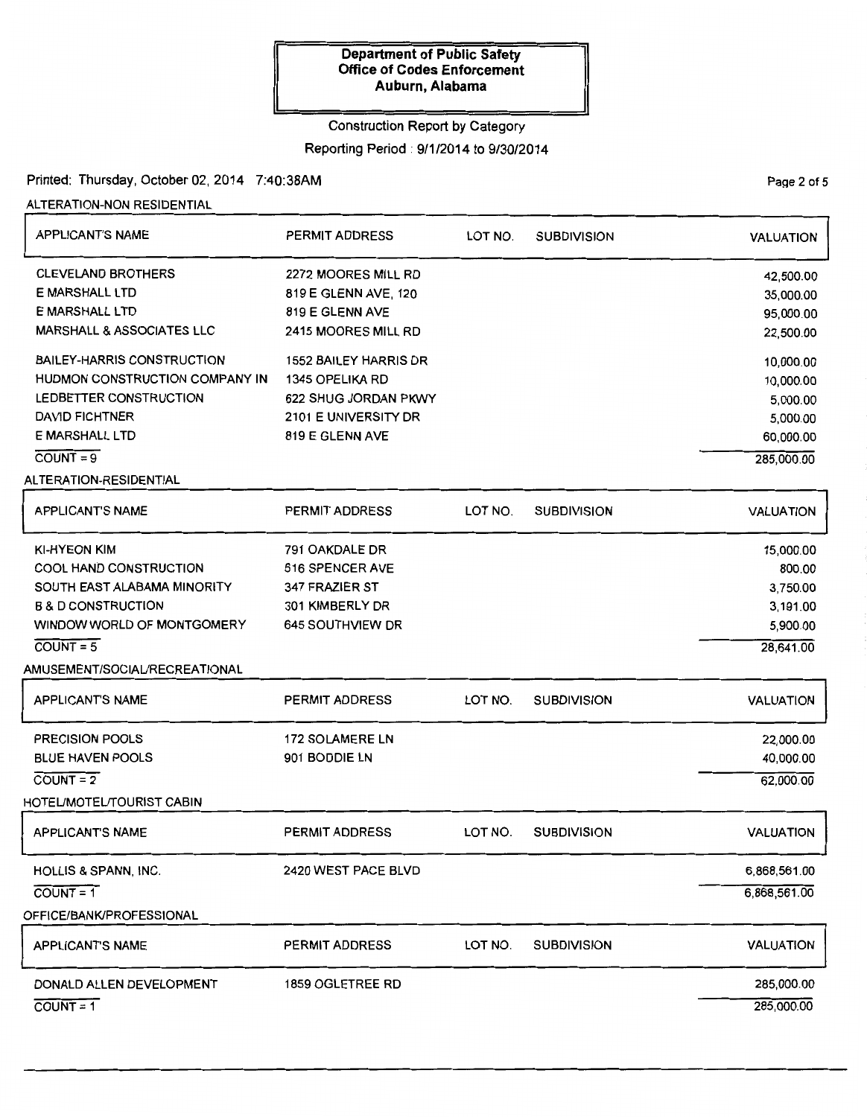## Construction Report by Category

# Reporting Period : 9/1/2014 to 9/30/2014

# Printed: Thursday, October 02, 2014 7:40:38AM

ALTERATION-NON RESIDENTIAL

| <b>APPLICANT'S NAME</b>              | PERMIT ADDRESS               | LOT NO. | <b>SUBDIVISION</b> | <b>VALUATION</b> |
|--------------------------------------|------------------------------|---------|--------------------|------------------|
| <b>CLEVELAND BROTHERS</b>            | 2272 MOORES MILL RD          |         |                    | 42,500.00        |
| E MARSHALL LTD                       | 819 E GLENN AVE, 120         |         |                    | 35,000.00        |
| E MARSHALL LTD                       | 819 E GLENN AVE              |         |                    | 95,000.00        |
| <b>MARSHALL &amp; ASSOCIATES LLC</b> | 2415 MOORES MILL RD          |         |                    | 22,500.00        |
| <b>BAILEY-HARRIS CONSTRUCTION</b>    | <b>1552 BAILEY HARRIS DR</b> |         |                    | 10,000.00        |
| HUDMON CONSTRUCTION COMPANY IN       | 1345 OPELIKA RD              |         |                    | 10,000.00        |
| LEDBETTER CONSTRUCTION               | 622 SHUG JORDAN PKWY         |         |                    | 5,000.00         |
| <b>DAVID FICHTNER</b>                | 2101 E UNIVERSITY DR         |         |                    | 5,000.00         |
| <b>E MARSHALL LTD</b>                | 819 E GLENN AVE              |         |                    | 60,000.00        |
| $COUNT = 9$                          |                              |         |                    | 285,000.00       |
| ALTERATION-RESIDENTIAL               |                              |         |                    |                  |
| <b>APPLICANT'S NAME</b>              | <b>PERMIT ADDRESS</b>        | LOT NO. | <b>SUBDIVISION</b> | <b>VALUATION</b> |
| <b>KI-HYEON KIM</b>                  | 791 OAKDALE DR               |         |                    | 15,000.00        |
| <b>COOL HAND CONSTRUCTION</b>        | 616 SPENCER AVE              |         |                    | 800.00           |
| SOUTH EAST ALABAMA MINORITY          | 347 FRAZIER ST               |         |                    | 3,750.00         |
| <b>B &amp; D CONSTRUCTION</b>        | 301 KIMBERLY DR              |         |                    | 3,191.00         |
| WINDOW WORLD OF MONTGOMERY           | 645 SOUTHVIEW DR             |         |                    | 5,900.00         |
| $COUNT = 5$                          |                              |         |                    | 28,641.00        |
| AMUSEMENT/SOCIAL/RECREATIONAL        |                              |         |                    |                  |
| <b>APPLICANT'S NAME</b>              | <b>PERMIT ADDRESS</b>        | LOT NO. | <b>SUBDIVISION</b> | <b>VALUATION</b> |
| <b>PRECISION POOLS</b>               | <b>172 SOLAMERE LN</b>       |         |                    | 22,000.00        |
| <b>BLUE HAVEN POOLS</b>              | 901 BODDIE LN                |         |                    | 40,000.00        |
| $COUNT = 2$                          |                              |         |                    | 62,000.00        |
| HOTEL/MOTEL/TOURIST CABIN            |                              |         |                    |                  |
| <b>APPLICANT'S NAME</b>              | <b>PERMIT ADDRESS</b>        | LOT NO. | <b>SUBDIVISION</b> | <b>VALUATION</b> |
| HOLLIS & SPANN, INC.                 | 2420 WEST PACE BLVD          |         |                    | 6,868,561.00     |
| $COUNT = 1$                          |                              |         |                    | 6,868,561.00     |
| OFFICE/BANK/PROFESSIONAL             |                              |         |                    |                  |
| <b>APPLICANT'S NAME</b>              | PERMIT ADDRESS               | LOT NO. | <b>SUBDIVISION</b> | <b>VALUATION</b> |
| DONALD ALLEN DEVELOPMENT             | 1859 OGLETREE RD             |         |                    | 285,000.00       |
| $COUNT = 1$                          |                              |         |                    | 285,000.00       |

PaQe 2 of 5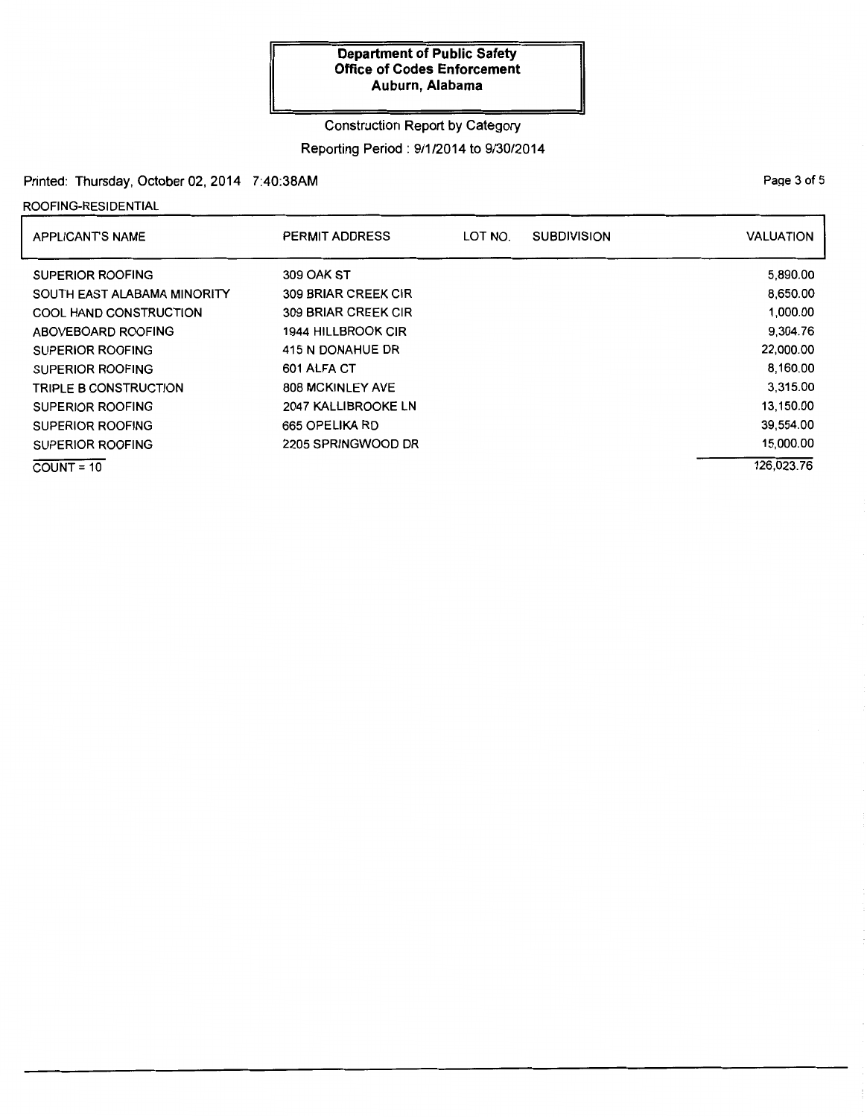# Construction Report by Category

# Reporting Period : 9/1/2014 to 9/30/2014

# Printed: Thursday, October 02, 2014 7:40:38AM

#### ROOFING-RESIDENTIAL

| <b>APPLICANT'S NAME</b>       | PERMIT ADDRESS             | LOT NO. | <b>SUBDIVISION</b> | <b>VALUATION</b> |
|-------------------------------|----------------------------|---------|--------------------|------------------|
| <b>SUPERIOR ROOFING</b>       | 309 OAK ST                 |         |                    | 5,890.00         |
| SOUTH EAST ALABAMA MINORITY   | <b>309 BRIAR CREEK CIR</b> |         |                    | 8,650.00         |
| <b>COOL HAND CONSTRUCTION</b> | <b>309 BRIAR CREEK CIR</b> |         |                    | 1,000.00         |
| ABOVEBOARD ROOFING            | 1944 HILLBROOK CIR         |         |                    | 9,304.76         |
| SUPERIOR ROOFING              | 415 N DONAHUE DR           |         |                    | 22,000.00        |
| SUPERIOR ROOFING              | 601 ALFA CT                |         |                    | 8,160.00         |
| <b>TRIPLE B CONSTRUCTION</b>  | <b>808 MCKINLEY AVE</b>    |         |                    | 3.315.00         |
| <b>SUPERIOR ROOFING</b>       | 2047 KALLIBROOKE LN        |         |                    | 13,150.00        |
| <b>SUPERIOR ROOFING</b>       | 665 OPELIKA RD             |         |                    | 39,554.00        |
| SUPERIOR ROOFING              | 2205 SPRINGWOOD DR         |         |                    | 15,000.00        |
| $COUNT = 10$                  |                            |         |                    | 126,023.76       |

#### PaQe 3 of 5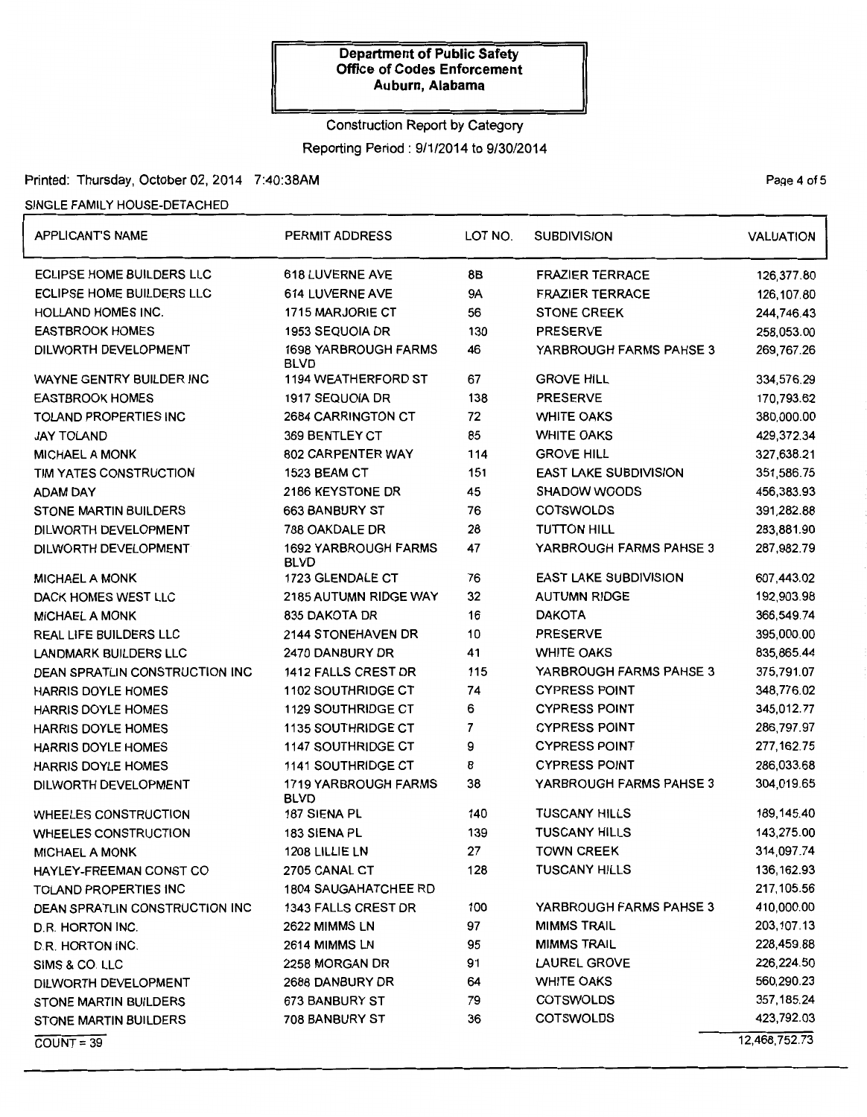# Construction Report by Category

Reporting Period: 9/1/2014 to 9/30/2014

# Printed: Thursday, October 02, 2014 7:40:38AM

### SINGLE FAMILY HOUSE-DETACHED

| <b>APPLICANT'S NAME</b>        | <b>PERMIT ADDRESS</b>                      |                           | <b>SUBDIVISION</b>           | <b>VALUATION</b> |  |
|--------------------------------|--------------------------------------------|---------------------------|------------------------------|------------------|--|
| ECLIPSE HOME BUILDERS LLC      | <b>618 LUVERNE AVE</b>                     | 8B                        | <b>FRAZIER TERRACE</b>       | 126,377.80       |  |
| ECLIPSE HOME BUILDERS LLC      | 614 LUVERNE AVE                            | 9A                        | <b>FRAZIER TERRACE</b>       | 126.107.80       |  |
| HOLLAND HOMES INC.             | 1715 MARJORIE CT                           | 56                        | <b>STONE CREEK</b>           | 244,746.43       |  |
| <b>EASTBROOK HOMES</b>         | 1953 SEQUOIA DR                            | 130                       | <b>PRESERVE</b>              | 258,053.00       |  |
| DILWORTH DEVELOPMENT           | <b>1698 YARBROUGH FARMS</b><br><b>BLVD</b> | 46                        | YARBROUGH FARMS PAHSE 3      | 269,767.26       |  |
| WAYNE GENTRY BUILDER INC       | <b>1194 WEATHERFORD ST</b>                 | 67                        | <b>GROVE HILL</b>            | 334,576.29       |  |
| <b>EASTBROOK HOMES</b>         | 1917 SEQUOIA DR                            | 138                       | <b>PRESERVE</b>              | 170,793.62       |  |
| TOLAND PROPERTIES INC          | 2684 CARRINGTON CT                         | 72                        | <b>WHITE OAKS</b>            | 380,000.00       |  |
| <b>JAY TOLAND</b>              | 369 BENTLEY CT                             | 85                        | <b>WHITE OAKS</b>            | 429,372.34       |  |
| <b>MICHAEL A MONK</b>          | 802 CARPENTER WAY                          | 114                       | <b>GROVE HILL</b>            | 327,638.21       |  |
| TIM YATES CONSTRUCTION         | 1523 BEAM CT                               | 151                       | <b>EAST LAKE SUBDIVISION</b> | 351,586.75       |  |
| ADAM DAY                       | 2186 KEYSTONE DR                           | 45                        | <b>SHADOW WOODS</b>          | 456,383.93       |  |
| <b>STONE MARTIN BUILDERS</b>   | <b>663 BANBURY ST</b>                      | 76                        | <b>COTSWOLDS</b>             | 391,282.88       |  |
| DILWORTH DEVELOPMENT           | 788 OAKDALE DR                             | 28                        | <b>TUTTON HILL</b>           | 283,881.90       |  |
| DILWORTH DEVELOPMENT           | <b>1692 YARBROUGH FARMS</b><br><b>BLVD</b> | 47                        | YARBROUGH FARMS PAHSE 3      | 287,982.79       |  |
| <b>MICHAEL A MONK</b>          | 1723 GLENDALE CT                           | 76                        | <b>EAST LAKE SUBDIVISION</b> | 607,443.02       |  |
| DACK HOMES WEST LLC            | 2185 AUTUMN RIDGE WAY                      | 32                        | <b>AUTUMN RIDGE</b>          | 192,903.98       |  |
| <b>MICHAEL A MONK</b>          | 835 DAKOTA DR                              | 16                        | <b>DAKOTA</b>                | 366,549.74       |  |
| REAL LIFE BUILDERS LLC         | 2144 STONEHAVEN DR                         | 10                        | <b>PRESERVE</b>              | 395,000.00       |  |
| <b>LANDMARK BUILDERS LLC</b>   | 2470 DANBURY DR                            | 41                        | <b>WHITE OAKS</b>            | 835,865.44       |  |
| DEAN SPRATLIN CONSTRUCTION INC | <b>1412 FALLS CREST DR</b>                 | 115                       | YARBROUGH FARMS PAHSE 3      | 375,791.07       |  |
| <b>HARRIS DOYLE HOMES</b>      | 1102 SOUTHRIDGE CT                         | 74                        | <b>CYPRESS POINT</b>         | 348,776.02       |  |
| <b>HARRIS DOYLE HOMES</b>      | <b>1129 SOUTHRIDGE CT</b>                  | 6                         | <b>CYPRESS POINT</b>         | 345,012.77       |  |
| HARRIS DOYLE HOMES             | <b>1135 SOUTHRIDGE CT</b>                  | $\overline{7}$            | <b>CYPRESS POINT</b>         | 286,797.97       |  |
| <b>HARRIS DOYLE HOMES</b>      | <b>1147 SOUTHRIDGE CT</b>                  | 9                         | <b>CYPRESS POINT</b>         | 277, 162.75      |  |
| HARRIS DOYLE HOMES             | 1141 SOUTHRIDGE CT                         | 8<br><b>CYPRESS POINT</b> |                              | 286,033.68       |  |
| DILWORTH DEVELOPMENT           | 1719 YARBROUGH FARMS<br><b>BLVD</b>        | 38                        | YARBROUGH FARMS PAHSE 3      | 304,019.65       |  |
| <b>WHEELES CONSTRUCTION</b>    | 187 SIENA PL                               | 140                       | <b>TUSCANY HILLS</b>         | 189,145.40       |  |
| WHEELES CONSTRUCTION           | 183 SIENA PL                               | 139                       | <b>TUSCANY HILLS</b>         | 143,275.00       |  |
| <b>MICHAEL A MONK</b>          | 1208 LILLIE LN                             | 27                        | <b>TOWN CREEK</b>            | 314,097.74       |  |
| HAYLEY-FREEMAN CONST CO        | 2705 CANAL CT                              | 128                       | <b>TUSCANY HILLS</b>         | 136, 162.93      |  |
| TOLAND PROPERTIES INC          | 1804 SAUGAHATCHEE RD                       |                           |                              | 217,105.56       |  |
| DEAN SPRATLIN CONSTRUCTION INC | 1343 FALLS CREST DR                        | 100                       | YARBROUGH FARMS PAHSE 3      | 410,000.00       |  |
| D.R. HORTON INC.               | 2622 MIMMS LN                              | 97                        | <b>MIMMS TRAIL</b>           | 203,107.13       |  |
| D.R. HORTON INC.               | 2614 MIMMS LN                              | 95                        | <b>MIMMS TRAIL</b>           | 228,459.88       |  |
| SIMS & CO. LLC                 | 2258 MORGAN DR                             | 91                        | <b>LAUREL GROVE</b>          | 226,224.50       |  |
| DILWORTH DEVELOPMENT           | 2688 DANBURY DR                            | 64                        | <b>WHITE OAKS</b>            | 560,290.23       |  |
| STONE MARTIN BUILDERS          | 673 BANBURY ST                             | 79                        | <b>COTSWOLDS</b>             | 357,185.24       |  |
| <b>STONE MARTIN BUILDERS</b>   | 708 BANBURY ST                             | 36                        | <b>COTSWOLDS</b>             | 423,792.03       |  |
| $COUNT = 39$                   |                                            |                           |                              | 12,468,752.73    |  |

PaQe 4 of 5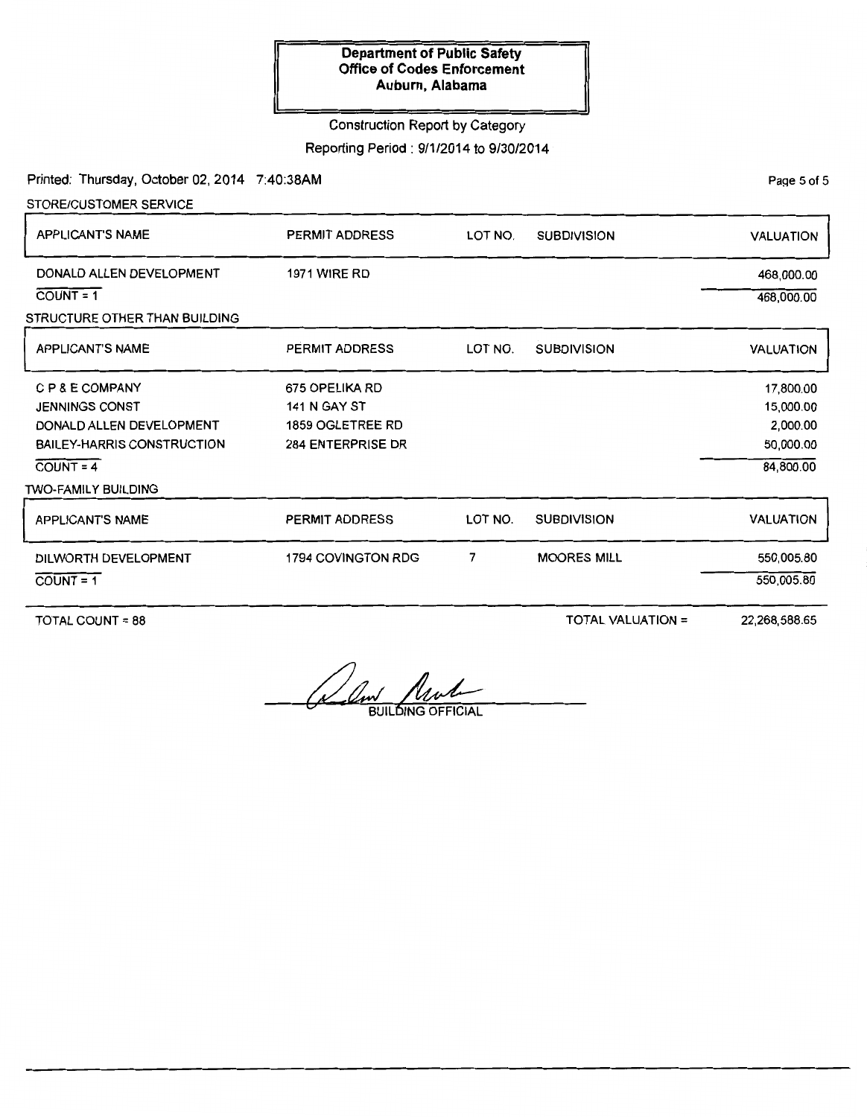#### Construction Report by Category

Reporting Period : 9/1/2014 to 9/30/2014

Printed: Thursday, October 02, 2014 7:40:38AM

STORE/CUSTOMER SERVICE

DONALD ALLEN DEVELOPMENT

STRUCTURE OTHER THAN BUILDING

APPLICANT'S NAME

 $COUNT = 1$ 

PERMIT ADDRESS 1971 WIRE RD LOT NO. SUBDIVISION VALUATION 468,000.00 468,000.00

| <b>APPLICANT'S NAME</b>                                                                                                  | PERMIT ADDRESS                                                                        | LOT NO. | <b>SUBDIVISION</b> | <b>VALUATION</b>                                             |
|--------------------------------------------------------------------------------------------------------------------------|---------------------------------------------------------------------------------------|---------|--------------------|--------------------------------------------------------------|
| C P & E COMPANY<br><b>JENNINGS CONST</b><br>DONALD ALLEN DEVELOPMENT<br><b>BAILEY-HARRIS CONSTRUCTION</b><br>$COUNT = 4$ | 675 OPELIKA RD<br><b>141 N GAY ST</b><br>1859 OGLETREE RD<br><b>284 ENTERPRISE DR</b> |         |                    | 17,800.00<br>15,000.00<br>2,000.00<br>50,000.00<br>84,800.00 |
| <b>TWO-FAMILY BUILDING</b>                                                                                               |                                                                                       |         |                    |                                                              |
| <b>APPLICANT'S NAME</b>                                                                                                  | <b>PERMIT ADDRESS</b>                                                                 | LOT NO. | <b>SUBDIVISION</b> | <b>VALUATION</b>                                             |
| DILWORTH DEVELOPMENT<br>$COUNT = 1$                                                                                      | 1794 COVINGTON RDG                                                                    |         | <b>MOORES MILL</b> | 550,005.80<br>550,005.80                                     |

TOTAL COUNT = 88

TOTAL VALUATION=

22,268,588.65

Rem Mult

PaQe 5 of 5